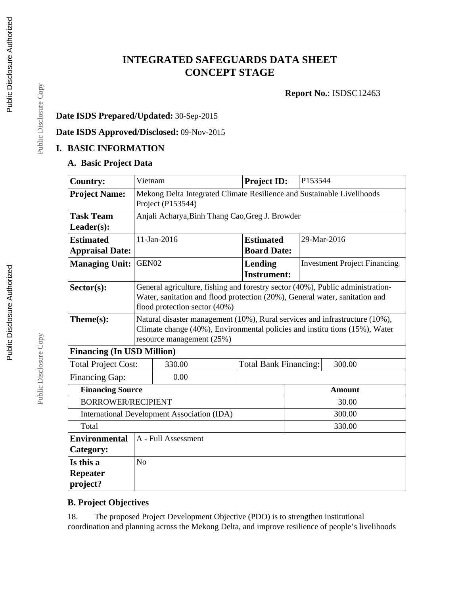# **INTEGRATED SAFEGUARDS DATA SHEET CONCEPT STAGE**

**Report No.**: ISDSC12463

## **Date ISDS Prepared/Updated:** 30-Sep-2015

**Date ISDS Approved/Disclosed:** 09-Nov-2015

## **I. BASIC INFORMATION**

### **A. Basic Project Data**

| <b>Country:</b>                             | Vietnam                                                                                                                                                                                |                                                                                                                                                                                                | Project ID:                            | P153544 |                                     |
|---------------------------------------------|----------------------------------------------------------------------------------------------------------------------------------------------------------------------------------------|------------------------------------------------------------------------------------------------------------------------------------------------------------------------------------------------|----------------------------------------|---------|-------------------------------------|
| <b>Project Name:</b>                        | Mekong Delta Integrated Climate Resilience and Sustainable Livelihoods<br>Project (P153544)                                                                                            |                                                                                                                                                                                                |                                        |         |                                     |
| <b>Task Team</b>                            | Anjali Acharya, Binh Thang Cao, Greg J. Browder                                                                                                                                        |                                                                                                                                                                                                |                                        |         |                                     |
| Leader(s):                                  |                                                                                                                                                                                        |                                                                                                                                                                                                |                                        |         |                                     |
| <b>Estimated</b>                            |                                                                                                                                                                                        | 11-Jan-2016                                                                                                                                                                                    | <b>Estimated</b>                       |         | 29-Mar-2016                         |
| <b>Appraisal Date:</b>                      |                                                                                                                                                                                        |                                                                                                                                                                                                | <b>Board Date:</b>                     |         |                                     |
| <b>Managing Unit:</b>                       | GEN02                                                                                                                                                                                  |                                                                                                                                                                                                | Lending                                |         | <b>Investment Project Financing</b> |
|                                             |                                                                                                                                                                                        |                                                                                                                                                                                                | <b>Instrument:</b>                     |         |                                     |
| Sector(s):                                  |                                                                                                                                                                                        | General agriculture, fishing and forestry sector (40%), Public administration-<br>Water, sanitation and flood protection (20%), General water, sanitation and<br>flood protection sector (40%) |                                        |         |                                     |
| Theme(s):                                   | Natural disaster management (10%), Rural services and infrastructure (10%),<br>Climate change (40%), Environmental policies and institutions (15%), Water<br>resource management (25%) |                                                                                                                                                                                                |                                        |         |                                     |
| <b>Financing (In USD Million)</b>           |                                                                                                                                                                                        |                                                                                                                                                                                                |                                        |         |                                     |
| <b>Total Project Cost:</b>                  |                                                                                                                                                                                        | 330.00                                                                                                                                                                                         | <b>Total Bank Financing:</b><br>300.00 |         |                                     |
| <b>Financing Gap:</b>                       |                                                                                                                                                                                        | 0.00                                                                                                                                                                                           |                                        |         |                                     |
| <b>Financing Source</b><br><b>Amount</b>    |                                                                                                                                                                                        |                                                                                                                                                                                                |                                        |         |                                     |
| <b>BORROWER/RECIPIENT</b>                   |                                                                                                                                                                                        |                                                                                                                                                                                                |                                        |         | 30.00                               |
| International Development Association (IDA) |                                                                                                                                                                                        |                                                                                                                                                                                                | 300.00                                 |         |                                     |
| Total<br>330.00                             |                                                                                                                                                                                        |                                                                                                                                                                                                |                                        |         |                                     |
| <b>Environmental</b>                        | A - Full Assessment                                                                                                                                                                    |                                                                                                                                                                                                |                                        |         |                                     |
| Category:                                   |                                                                                                                                                                                        |                                                                                                                                                                                                |                                        |         |                                     |
| Is this a                                   | N <sub>o</sub>                                                                                                                                                                         |                                                                                                                                                                                                |                                        |         |                                     |
| <b>Repeater</b>                             |                                                                                                                                                                                        |                                                                                                                                                                                                |                                        |         |                                     |
| project?                                    |                                                                                                                                                                                        |                                                                                                                                                                                                |                                        |         |                                     |

#### **B. Project Objectives**

18. The proposed Project Development Objective (PDO) is to strengthen institutional coordination and planning across the Mekong Delta, and improve resilience of people's livelihoods

Public Disclosure Copy

Public Disclosure Copy

Public Disclosure Copy

Public Disclosure Copy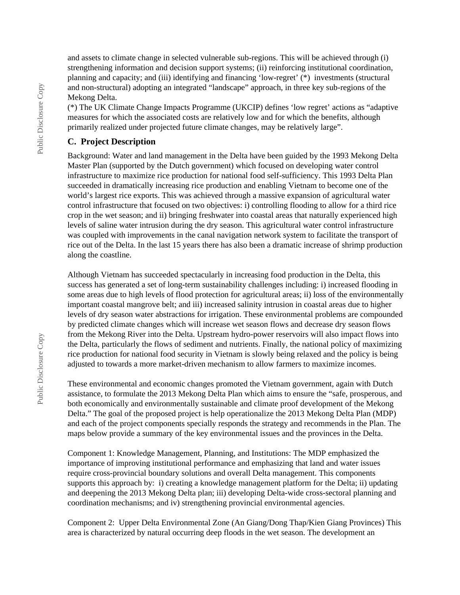and assets to climate change in selected vulnerable sub-regions. This will be achieved through (i) strengthening information and decision support systems; (ii) reinforcing institutional coordination, planning and capacity; and (iii) identifying and financing 'low-regret' (\*) investments (structural and non-structural) adopting an integrated "landscape" approach, in three key sub-regions of the Mekong Delta.

(\*) The UK Climate Change Impacts Programme (UKCIP) defines 'low regret' actions as "adaptive measures for which the associated costs are relatively low and for which the benefits, although primarily realized under projected future climate changes, may be relatively large".

#### **C. Project Description**

Background: Water and land management in the Delta have been guided by the 1993 Mekong Delta Master Plan (supported by the Dutch government) which focused on developing water control infrastructure to maximize rice production for national food self-sufficiency. This 1993 Delta Plan succeeded in dramatically increasing rice production and enabling Vietnam to become one of the world's largest rice exports. This was achieved through a massive expansion of agricultural water control infrastructure that focused on two objectives: i) controlling flooding to allow for a third rice crop in the wet season; and ii) bringing freshwater into coastal areas that naturally experienced high levels of saline water intrusion during the dry season. This agricultural water control infrastructure was coupled with improvements in the canal navigation network system to facilitate the transport of rice out of the Delta. In the last 15 years there has also been a dramatic increase of shrimp production along the coastline.

Although Vietnam has succeeded spectacularly in increasing food production in the Delta, this success has generated a set of long-term sustainability challenges including: i) increased flooding in some areas due to high levels of flood protection for agricultural areas; ii) loss of the environmentally important coastal mangrove belt; and iii) increased salinity intrusion in coastal areas due to higher levels of dry season water abstractions for irrigation. These environmental problems are compounded by predicted climate changes which will increase wet season flows and decrease dry season flows from the Mekong River into the Delta. Upstream hydro-power reservoirs will also impact flows into the Delta, particularly the flows of sediment and nutrients. Finally, the national policy of maximizing rice production for national food security in Vietnam is slowly being relaxed and the policy is being adjusted to towards a more market-driven mechanism to allow farmers to maximize incomes.

These environmental and economic changes promoted the Vietnam government, again with Dutch assistance, to formulate the 2013 Mekong Delta Plan which aims to ensure the "safe, prosperous, and both economically and environmentally sustainable and climate proof development of the Mekong Delta." The goal of the proposed project is help operationalize the 2013 Mekong Delta Plan (MDP) and each of the project components specially responds the strategy and recommends in the Plan. The maps below provide a summary of the key environmental issues and the provinces in the Delta.

Component 1: Knowledge Management, Planning, and Institutions: The MDP emphasized the importance of improving institutional performance and emphasizing that land and water issues require cross-provincial boundary solutions and overall Delta management. This components supports this approach by: i) creating a knowledge management platform for the Delta; ii) updating and deepening the 2013 Mekong Delta plan; iii) developing Delta-wide cross-sectoral planning and coordination mechanisms; and iv) strengthening provincial environmental agencies.

Component 2: Upper Delta Environmental Zone (An Giang/Dong Thap/Kien Giang Provinces) This area is characterized by natural occurring deep floods in the wet season. The development an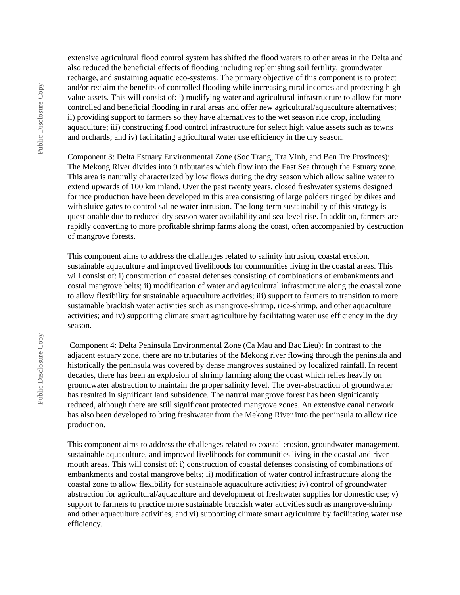extensive agricultural flood control system has shifted the flood waters to other areas in the Delta and also reduced the beneficial effects of flooding including replenishing soil fertility, groundwater recharge, and sustaining aquatic eco-systems. The primary objective of this component is to protect and/or reclaim the benefits of controlled flooding while increasing rural incomes and protecting high value assets. This will consist of: i) modifying water and agricultural infrastructure to allow for more controlled and beneficial flooding in rural areas and offer new agricultural/aquaculture alternatives; ii) providing support to farmers so they have alternatives to the wet season rice crop, including aquaculture; iii) constructing flood control infrastructure for select high value assets such as towns and orchards; and iv) facilitating agricultural water use efficiency in the dry season.

Component 3: Delta Estuary Environmental Zone (Soc Trang, Tra Vinh, and Ben Tre Provinces): The Mekong River divides into 9 tributaries which flow into the East Sea through the Estuary zone. This area is naturally characterized by low flows during the dry season which allow saline water to extend upwards of 100 km inland. Over the past twenty years, closed freshwater systems designed for rice production have been developed in this area consisting of large polders ringed by dikes and with sluice gates to control saline water intrusion. The long-term sustainability of this strategy is questionable due to reduced dry season water availability and sea-level rise. In addition, farmers are rapidly converting to more profitable shrimp farms along the coast, often accompanied by destruction of mangrove forests.

This component aims to address the challenges related to salinity intrusion, coastal erosion, sustainable aquaculture and improved livelihoods for communities living in the coastal areas. This will consist of: i) construction of coastal defenses consisting of combinations of embankments and costal mangrove belts; ii) modification of water and agricultural infrastructure along the coastal zone to allow flexibility for sustainable aquaculture activities; iii) support to farmers to transition to more sustainable brackish water activities such as mangrove-shrimp, rice-shrimp, and other aquaculture activities; and iv) supporting climate smart agriculture by facilitating water use efficiency in the dry season.

 Component 4: Delta Peninsula Environmental Zone (Ca Mau and Bac Lieu): In contrast to the adjacent estuary zone, there are no tributaries of the Mekong river flowing through the peninsula and historically the peninsula was covered by dense mangroves sustained by localized rainfall. In recent decades, there has been an explosion of shrimp farming along the coast which relies heavily on groundwater abstraction to maintain the proper salinity level. The over-abstraction of groundwater has resulted in significant land subsidence. The natural mangrove forest has been significantly reduced, although there are still significant protected mangrove zones. An extensive canal network has also been developed to bring freshwater from the Mekong River into the peninsula to allow rice production.

This component aims to address the challenges related to coastal erosion, groundwater management, sustainable aquaculture, and improved livelihoods for communities living in the coastal and river mouth areas. This will consist of: i) construction of coastal defenses consisting of combinations of embankments and costal mangrove belts; ii) modification of water control infrastructure along the coastal zone to allow flexibility for sustainable aquaculture activities; iv) control of groundwater abstraction for agricultural/aquaculture and development of freshwater supplies for domestic use; v) support to farmers to practice more sustainable brackish water activities such as mangrove-shrimp and other aquaculture activities; and vi) supporting climate smart agriculture by facilitating water use efficiency.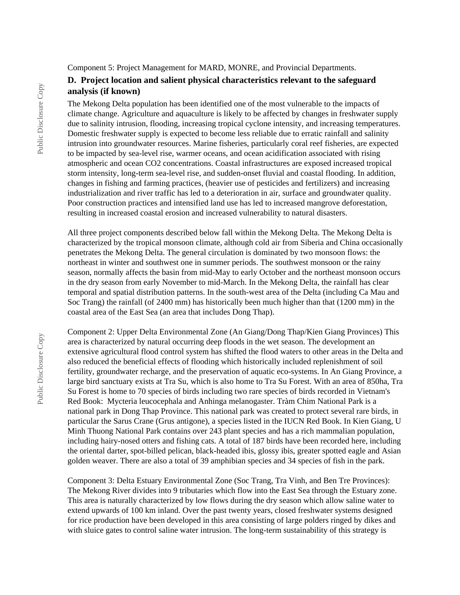Component 5: Project Management for MARD, MONRE, and Provincial Departments.

#### **D. Project location and salient physical characteristics relevant to the safeguard analysis (if known)**

The Mekong Delta population has been identified one of the most vulnerable to the impacts of climate change. Agriculture and aquaculture is likely to be affected by changes in freshwater supply due to salinity intrusion, flooding, increasing tropical cyclone intensity, and increasing temperatures. Domestic freshwater supply is expected to become less reliable due to erratic rainfall and salinity intrusion into groundwater resources. Marine fisheries, particularly coral reef fisheries, are expected to be impacted by sea-level rise, warmer oceans, and ocean acidification associated with rising atmospheric and ocean CO2 concentrations. Coastal infrastructures are exposed increased tropical storm intensity, long-term sea-level rise, and sudden-onset fluvial and coastal flooding. In addition, changes in fishing and farming practices, (heavier use of pesticides and fertilizers) and increasing industrialization and river traffic has led to a deterioration in air, surface and groundwater quality. Poor construction practices and intensified land use has led to increased mangrove deforestation, resulting in increased coastal erosion and increased vulnerability to natural disasters.

All three project components described below fall within the Mekong Delta. The Mekong Delta is characterized by the tropical monsoon climate, although cold air from Siberia and China occasionally penetrates the Mekong Delta. The general circulation is dominated by two monsoon flows: the northeast in winter and southwest one in summer periods. The southwest monsoon or the rainy season, normally affects the basin from mid-May to early October and the northeast monsoon occurs in the dry season from early November to mid-March. In the Mekong Delta, the rainfall has clear temporal and spatial distribution patterns. In the south-west area of the Delta (including Ca Mau and Soc Trang) the rainfall (of 2400 mm) has historically been much higher than that (1200 mm) in the coastal area of the East Sea (an area that includes Dong Thap).

Component 2: Upper Delta Environmental Zone (An Giang/Dong Thap/Kien Giang Provinces) This area is characterized by natural occurring deep floods in the wet season. The development an extensive agricultural flood control system has shifted the flood waters to other areas in the Delta and also reduced the beneficial effects of flooding which historically included replenishment of soil fertility, groundwater recharge, and the preservation of aquatic eco-systems. In An Giang Province, a large bird sanctuary exists at Tra Su, which is also home to Tra Su Forest. With an area of 850ha, Tra Su Forest is home to 70 species of birds including two rare species of birds recorded in Vietnam's Red Book: Mycteria leucocephala and Anhinga melanogaster. Tràm Chim National Park is a national park in Dong Thap Province. This national park was created to protect several rare birds, in particular the Sarus Crane (Grus antigone), a species listed in the IUCN Red Book. In Kien Giang, U Minh Thuong National Park contains over 243 plant species and has a rich mammalian population, including hairy-nosed otters and fishing cats. A total of 187 birds have been recorded here, including the oriental darter, spot-billed pelican, black-headed ibis, glossy ibis, greater spotted eagle and Asian golden weaver. There are also a total of 39 amphibian species and 34 species of fish in the park.

Component 3: Delta Estuary Environmental Zone (Soc Trang, Tra Vinh, and Ben Tre Provinces): The Mekong River divides into 9 tributaries which flow into the East Sea through the Estuary zone. This area is naturally characterized by low flows during the dry season which allow saline water to extend upwards of 100 km inland. Over the past twenty years, closed freshwater systems designed for rice production have been developed in this area consisting of large polders ringed by dikes and with sluice gates to control saline water intrusion. The long-term sustainability of this strategy is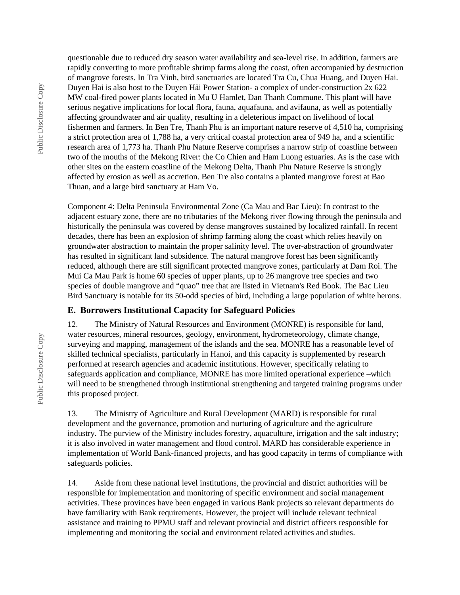Public Disclosure Copy Public Disclosure Copy

questionable due to reduced dry season water availability and sea-level rise. In addition, farmers are rapidly converting to more profitable shrimp farms along the coast, often accompanied by destruction of mangrove forests. In Tra Vinh, bird sanctuaries are located Tra Cu, Chua Huang, and Duyen Hai. Duyen Hai is also host to the Duyen Hải Power Station- a complex of under-construction 2x 622 MW coal-fired power plants located in Mu U Hamlet, Dan Thanh Commune. This plant will have serious negative implications for local flora, fauna, aquafauna, and avifauna, as well as potentially affecting groundwater and air quality, resulting in a deleterious impact on livelihood of local fishermen and farmers. In Ben Tre, Thanh Phu is an important nature reserve of 4,510 ha, comprising a strict protection area of 1,788 ha, a very critical coastal protection area of 949 ha, and a scientific research area of 1,773 ha. Thanh Phu Nature Reserve comprises a narrow strip of coastline between two of the mouths of the Mekong River: the Co Chien and Ham Luong estuaries. As is the case with other sites on the eastern coastline of the Mekong Delta, Thanh Phu Nature Reserve is strongly affected by erosion as well as accretion. Ben Tre also contains a planted mangrove forest at Bao Thuan, and a large bird sanctuary at Ham Vo.

Component 4: Delta Peninsula Environmental Zone (Ca Mau and Bac Lieu): In contrast to the adjacent estuary zone, there are no tributaries of the Mekong river flowing through the peninsula and historically the peninsula was covered by dense mangroves sustained by localized rainfall. In recent decades, there has been an explosion of shrimp farming along the coast which relies heavily on groundwater abstraction to maintain the proper salinity level. The over-abstraction of groundwater has resulted in significant land subsidence. The natural mangrove forest has been significantly reduced, although there are still significant protected mangrove zones, particularly at Dam Roi. The Mui Ca Mau Park is home 60 species of upper plants, up to 26 mangrove tree species and two species of double mangrove and "quao" tree that are listed in Vietnam's Red Book. The Bac Lieu Bird Sanctuary is notable for its 50-odd species of bird, including a large population of white herons.

#### **E. Borrowers Institutional Capacity for Safeguard Policies**

12. The Ministry of Natural Resources and Environment (MONRE) is responsible for land, water resources, mineral resources, geology, environment, hydrometeorology, climate change, surveying and mapping, management of the islands and the sea. MONRE has a reasonable level of skilled technical specialists, particularly in Hanoi, and this capacity is supplemented by research performed at research agencies and academic institutions. However, specifically relating to safeguards application and compliance, MONRE has more limited operational experience –which will need to be strengthened through institutional strengthening and targeted training programs under this proposed project.

13. The Ministry of Agriculture and Rural Development (MARD) is responsible for rural development and the governance, promotion and nurturing of agriculture and the agriculture industry. The purview of the Ministry includes forestry, aquaculture, irrigation and the salt industry; it is also involved in water management and flood control. MARD has considerable experience in implementation of World Bank-financed projects, and has good capacity in terms of compliance with safeguards policies.

14. Aside from these national level institutions, the provincial and district authorities will be responsible for implementation and monitoring of specific environment and social management activities. These provinces have been engaged in various Bank projects so relevant departments do have familiarity with Bank requirements. However, the project will include relevant technical assistance and training to PPMU staff and relevant provincial and district officers responsible for implementing and monitoring the social and environment related activities and studies.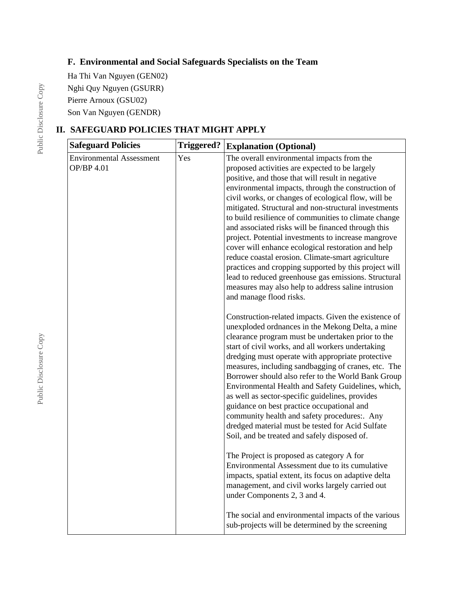## **F. Environmental and Social Safeguards Specialists on the Team**

Ha Thi Van Nguyen (GEN02) Nghi Quy Nguyen (GSURR) Pierre Arnoux (GSU02) Son Van Nguyen (GENDR)

# **II. SAFEGUARD POLICIES THAT MIGHT APPLY**

| <b>Safeguard Policies</b>                     | <b>Triggered?</b> | <b>Explanation (Optional)</b>                                                                                                                                                                                                                                                                                                                                                                                                                                                                                                                                                                                                                                                                                                                                                                           |
|-----------------------------------------------|-------------------|---------------------------------------------------------------------------------------------------------------------------------------------------------------------------------------------------------------------------------------------------------------------------------------------------------------------------------------------------------------------------------------------------------------------------------------------------------------------------------------------------------------------------------------------------------------------------------------------------------------------------------------------------------------------------------------------------------------------------------------------------------------------------------------------------------|
| <b>Environmental Assessment</b><br>OP/BP 4.01 | Yes               | The overall environmental impacts from the<br>proposed activities are expected to be largely<br>positive, and those that will result in negative<br>environmental impacts, through the construction of<br>civil works, or changes of ecological flow, will be<br>mitigated. Structural and non-structural investments<br>to build resilience of communities to climate change<br>and associated risks will be financed through this<br>project. Potential investments to increase mangrove<br>cover will enhance ecological restoration and help<br>reduce coastal erosion. Climate-smart agriculture<br>practices and cropping supported by this project will<br>lead to reduced greenhouse gas emissions. Structural<br>measures may also help to address saline intrusion<br>and manage flood risks. |
|                                               |                   | Construction-related impacts. Given the existence of<br>unexploded ordnances in the Mekong Delta, a mine<br>clearance program must be undertaken prior to the<br>start of civil works, and all workers undertaking<br>dredging must operate with appropriate protective<br>measures, including sandbagging of cranes, etc. The<br>Borrower should also refer to the World Bank Group<br>Environmental Health and Safety Guidelines, which,<br>as well as sector-specific guidelines, provides<br>guidance on best practice occupational and<br>community health and safety procedures:. Any<br>dredged material must be tested for Acid Sulfate<br>Soil, and be treated and safely disposed of.                                                                                                         |
|                                               |                   | The Project is proposed as category A for<br>Environmental Assessment due to its cumulative<br>impacts, spatial extent, its focus on adaptive delta<br>management, and civil works largely carried out<br>under Components 2, 3 and 4.                                                                                                                                                                                                                                                                                                                                                                                                                                                                                                                                                                  |
|                                               |                   | The social and environmental impacts of the various<br>sub-projects will be determined by the screening                                                                                                                                                                                                                                                                                                                                                                                                                                                                                                                                                                                                                                                                                                 |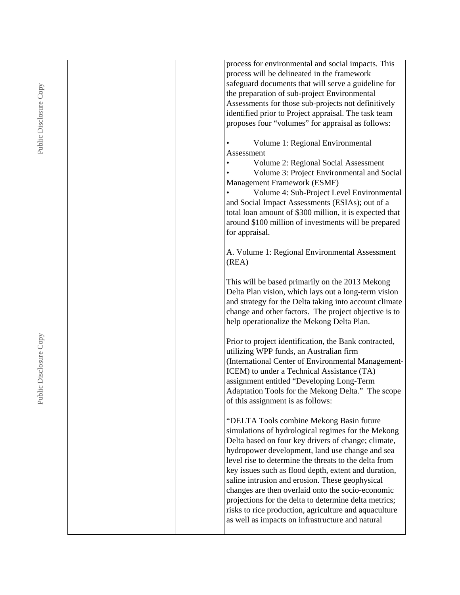| process for environmental and social impacts. This                                                   |
|------------------------------------------------------------------------------------------------------|
| process will be delineated in the framework                                                          |
| safeguard documents that will serve a guideline for                                                  |
| the preparation of sub-project Environmental                                                         |
| Assessments for those sub-projects not definitively                                                  |
| identified prior to Project appraisal. The task team                                                 |
| proposes four "volumes" for appraisal as follows:                                                    |
| Volume 1: Regional Environmental                                                                     |
| Assessment                                                                                           |
| Volume 2: Regional Social Assessment                                                                 |
| Volume 3: Project Environmental and Social                                                           |
| Management Framework (ESMF)                                                                          |
| Volume 4: Sub-Project Level Environmental                                                            |
| and Social Impact Assessments (ESIAs); out of a                                                      |
| total loan amount of \$300 million, it is expected that                                              |
| around \$100 million of investments will be prepared                                                 |
| for appraisal.                                                                                       |
| A. Volume 1: Regional Environmental Assessment                                                       |
| (REA)                                                                                                |
|                                                                                                      |
| This will be based primarily on the 2013 Mekong                                                      |
| Delta Plan vision, which lays out a long-term vision                                                 |
| and strategy for the Delta taking into account climate                                               |
| change and other factors. The project objective is to                                                |
| help operationalize the Mekong Delta Plan.                                                           |
| Prior to project identification, the Bank contracted,                                                |
| utilizing WPP funds, an Australian firm                                                              |
| (International Center of Environmental Management-                                                   |
| ICEM) to under a Technical Assistance (TA)                                                           |
| assignment entitled "Developing Long-Term                                                            |
| Adaptation Tools for the Mekong Delta." The scope                                                    |
| of this assignment is as follows:                                                                    |
|                                                                                                      |
| "DELTA Tools combine Mekong Basin future                                                             |
| simulations of hydrological regimes for the Mekong                                                   |
| Delta based on four key drivers of change; climate,                                                  |
| hydropower development, land use change and sea                                                      |
| level rise to determine the threats to the delta from                                                |
| key issues such as flood depth, extent and duration,                                                 |
| saline intrusion and erosion. These geophysical<br>changes are then overlaid onto the socio-economic |
| projections for the delta to determine delta metrics;                                                |
| risks to rice production, agriculture and aquaculture                                                |
| as well as impacts on infrastructure and natural                                                     |
|                                                                                                      |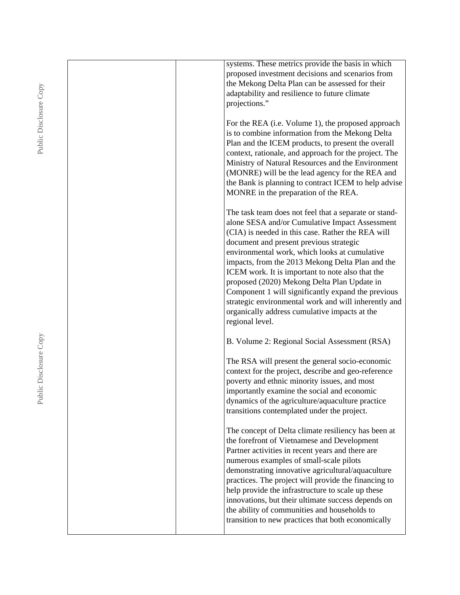| systems. These metrics provide the basis in which     |
|-------------------------------------------------------|
| proposed investment decisions and scenarios from      |
|                                                       |
| the Mekong Delta Plan can be assessed for their       |
| adaptability and resilience to future climate         |
| projections."                                         |
|                                                       |
| For the REA (i.e. Volume 1), the proposed approach    |
| is to combine information from the Mekong Delta       |
| Plan and the ICEM products, to present the overall    |
| context, rationale, and approach for the project. The |
| Ministry of Natural Resources and the Environment     |
| (MONRE) will be the lead agency for the REA and       |
| the Bank is planning to contract ICEM to help advise  |
| MONRE in the preparation of the REA.                  |
|                                                       |
| The task team does not feel that a separate or stand- |
| alone SESA and/or Cumulative Impact Assessment        |
| (CIA) is needed in this case. Rather the REA will     |
| document and present previous strategic               |
| environmental work, which looks at cumulative         |
| impacts, from the 2013 Mekong Delta Plan and the      |
| ICEM work. It is important to note also that the      |
| proposed (2020) Mekong Delta Plan Update in           |
| Component 1 will significantly expand the previous    |
| strategic environmental work and will inherently and  |
| organically address cumulative impacts at the         |
| regional level.                                       |
|                                                       |
| B. Volume 2: Regional Social Assessment (RSA)         |
|                                                       |
| The RSA will present the general socio-economic       |
| context for the project, describe and geo-reference   |
| poverty and ethnic minority issues, and most          |
| importantly examine the social and economic           |
| dynamics of the agriculture/aquaculture practice      |
| transitions contemplated under the project.           |
|                                                       |
| The concept of Delta climate resiliency has been at   |
| the forefront of Vietnamese and Development           |
| Partner activities in recent years and there are      |
| numerous examples of small-scale pilots               |
| demonstrating innovative agricultural/aquaculture     |
| practices. The project will provide the financing to  |
| help provide the infrastructure to scale up these     |
| innovations, but their ultimate success depends on    |
| the ability of communities and households to          |
| transition to new practices that both economically    |
|                                                       |

Public Disclosure Copy Public Disclosure Copy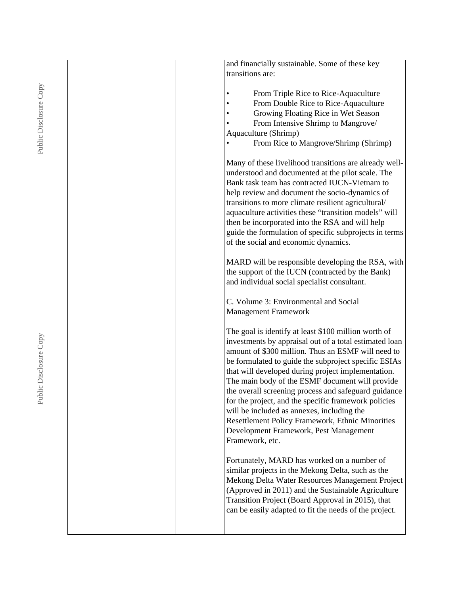| and financially sustainable. Some of these key         |
|--------------------------------------------------------|
| transitions are:                                       |
|                                                        |
| From Triple Rice to Rice-Aquaculture<br>$\bullet$      |
| From Double Rice to Rice-Aquaculture                   |
|                                                        |
| Growing Floating Rice in Wet Season                    |
| From Intensive Shrimp to Mangrove/                     |
| Aquaculture (Shrimp)                                   |
| From Rice to Mangrove/Shrimp (Shrimp)                  |
|                                                        |
| Many of these livelihood transitions are already well- |
| understood and documented at the pilot scale. The      |
| Bank task team has contracted IUCN-Vietnam to          |
|                                                        |
| help review and document the socio-dynamics of         |
| transitions to more climate resilient agricultural/    |
| aquaculture activities these "transition models" will  |
| then be incorporated into the RSA and will help        |
| guide the formulation of specific subprojects in terms |
| of the social and economic dynamics.                   |
|                                                        |
| MARD will be responsible developing the RSA, with      |
|                                                        |
| the support of the IUCN (contracted by the Bank)       |
| and individual social specialist consultant.           |
|                                                        |
| C. Volume 3: Environmental and Social                  |
| <b>Management Framework</b>                            |
|                                                        |
| The goal is identify at least \$100 million worth of   |
| investments by appraisal out of a total estimated loan |
| amount of \$300 million. Thus an ESMF will need to     |
|                                                        |
| be formulated to guide the subproject specific ESIAs   |
| that will developed during project implementation.     |
| The main body of the ESMF document will provide        |
| the overall screening process and safeguard guidance   |
| for the project, and the specific framework policies   |
| will be included as annexes, including the             |
| Resettlement Policy Framework, Ethnic Minorities       |
|                                                        |
| Development Framework, Pest Management                 |
| Framework, etc.                                        |
|                                                        |
| Fortunately, MARD has worked on a number of            |
| similar projects in the Mekong Delta, such as the      |
| Mekong Delta Water Resources Management Project        |
| (Approved in 2011) and the Sustainable Agriculture     |
| Transition Project (Board Approval in 2015), that      |
|                                                        |
| can be easily adapted to fit the needs of the project. |
|                                                        |
|                                                        |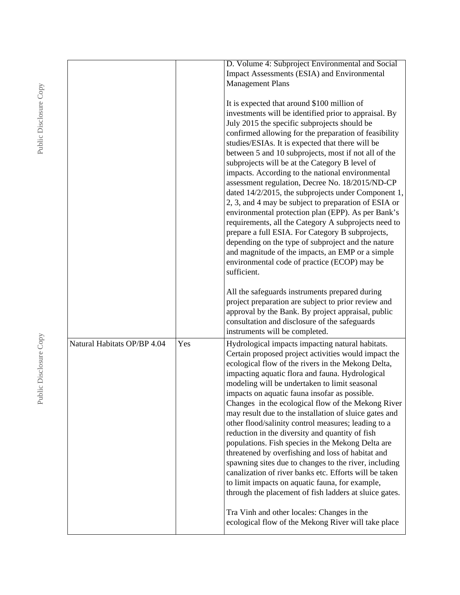|                             |     | D. Volume 4: Subproject Environmental and Social<br>Impact Assessments (ESIA) and Environmental<br><b>Management Plans</b>                                                                                                                                                                                                                                                                                                                                                                                                                                                                                                                                                                                                                                                                                                                                                                                                                   |
|-----------------------------|-----|----------------------------------------------------------------------------------------------------------------------------------------------------------------------------------------------------------------------------------------------------------------------------------------------------------------------------------------------------------------------------------------------------------------------------------------------------------------------------------------------------------------------------------------------------------------------------------------------------------------------------------------------------------------------------------------------------------------------------------------------------------------------------------------------------------------------------------------------------------------------------------------------------------------------------------------------|
|                             |     | It is expected that around \$100 million of<br>investments will be identified prior to appraisal. By<br>July 2015 the specific subprojects should be<br>confirmed allowing for the preparation of feasibility<br>studies/ESIAs. It is expected that there will be<br>between 5 and 10 subprojects, most if not all of the<br>subprojects will be at the Category B level of<br>impacts. According to the national environmental<br>assessment regulation, Decree No. 18/2015/ND-CP<br>dated 14/2/2015, the subprojects under Component 1,<br>2, 3, and 4 may be subject to preparation of ESIA or<br>environmental protection plan (EPP). As per Bank's<br>requirements, all the Category A subprojects need to<br>prepare a full ESIA. For Category B subprojects,<br>depending on the type of subproject and the nature<br>and magnitude of the impacts, an EMP or a simple<br>environmental code of practice (ECOP) may be<br>sufficient. |
|                             |     | All the safeguards instruments prepared during<br>project preparation are subject to prior review and<br>approval by the Bank. By project appraisal, public<br>consultation and disclosure of the safeguards<br>instruments will be completed.                                                                                                                                                                                                                                                                                                                                                                                                                                                                                                                                                                                                                                                                                               |
| Natural Habitats OP/BP 4.04 | Yes | Hydrological impacts impacting natural habitats.<br>Certain proposed project activities would impact the<br>ecological flow of the rivers in the Mekong Delta,<br>impacting aquatic flora and fauna. Hydrological<br>modeling will be undertaken to limit seasonal<br>impacts on aquatic fauna insofar as possible.<br>Changes in the ecological flow of the Mekong River<br>may result due to the installation of sluice gates and<br>other flood/salinity control measures; leading to a<br>reduction in the diversity and quantity of fish<br>populations. Fish species in the Mekong Delta are<br>threatened by overfishing and loss of habitat and<br>spawning sites due to changes to the river, including<br>canalization of river banks etc. Efforts will be taken<br>to limit impacts on aquatic fauna, for example,<br>through the placement of fish ladders at sluice gates.                                                      |
|                             |     | Tra Vinh and other locales: Changes in the<br>ecological flow of the Mekong River will take place                                                                                                                                                                                                                                                                                                                                                                                                                                                                                                                                                                                                                                                                                                                                                                                                                                            |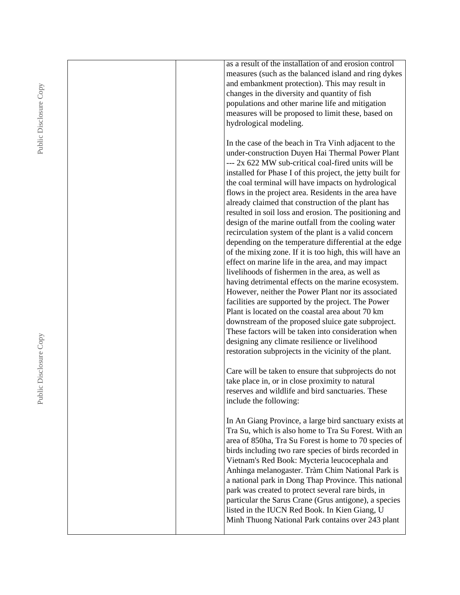| as a result of the installation of and erosion control     |
|------------------------------------------------------------|
| measures (such as the balanced island and ring dykes       |
| and embankment protection). This may result in             |
| changes in the diversity and quantity of fish              |
| populations and other marine life and mitigation           |
| measures will be proposed to limit these, based on         |
| hydrological modeling.                                     |
|                                                            |
| In the case of the beach in Tra Vinh adjacent to the       |
|                                                            |
| under-construction Duyen Hai Thermal Power Plant           |
| --- 2x 622 MW sub-critical coal-fired units will be        |
| installed for Phase I of this project, the jetty built for |
| the coal terminal will have impacts on hydrological        |
| flows in the project area. Residents in the area have      |
| already claimed that construction of the plant has         |
| resulted in soil loss and erosion. The positioning and     |
| design of the marine outfall from the cooling water        |
| recirculation system of the plant is a valid concern       |
| depending on the temperature differential at the edge      |
| of the mixing zone. If it is too high, this will have an   |
| effect on marine life in the area, and may impact          |
| livelihoods of fishermen in the area, as well as           |
| having detrimental effects on the marine ecosystem.        |
|                                                            |
| However, neither the Power Plant nor its associated        |
| facilities are supported by the project. The Power         |
| Plant is located on the coastal area about 70 km           |
| downstream of the proposed sluice gate subproject.         |
| These factors will be taken into consideration when        |
| designing any climate resilience or livelihood             |
| restoration subprojects in the vicinity of the plant.      |
|                                                            |
| Care will be taken to ensure that subprojects do not       |
| take place in, or in close proximity to natural            |
| reserves and wildlife and bird sanctuaries. These          |
| include the following:                                     |
|                                                            |
| In An Giang Province, a large bird sanctuary exists at     |
| Tra Su, which is also home to Tra Su Forest. With an       |
|                                                            |
| area of 850ha, Tra Su Forest is home to 70 species of      |
| birds including two rare species of birds recorded in      |
| Vietnam's Red Book: Mycteria leucocephala and              |
| Anhinga melanogaster. Tràm Chim National Park is           |
| a national park in Dong Thap Province. This national       |
| park was created to protect several rare birds, in         |
| particular the Sarus Crane (Grus antigone), a species      |
| listed in the IUCN Red Book. In Kien Giang, U              |
| Minh Thuong National Park contains over 243 plant          |
|                                                            |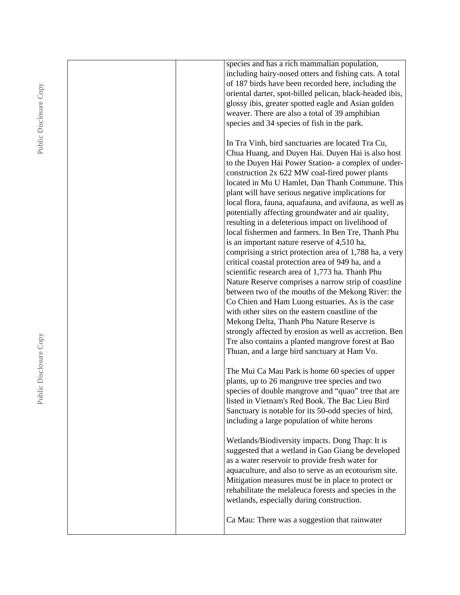| species and has a rich mammalian population,                                                                                                                                                                                                                                                                                                                                                                                                                                                                                                                                                                                                                                                                                                                                                                                                                                                                                             |
|------------------------------------------------------------------------------------------------------------------------------------------------------------------------------------------------------------------------------------------------------------------------------------------------------------------------------------------------------------------------------------------------------------------------------------------------------------------------------------------------------------------------------------------------------------------------------------------------------------------------------------------------------------------------------------------------------------------------------------------------------------------------------------------------------------------------------------------------------------------------------------------------------------------------------------------|
| including hairy-nosed otters and fishing cats. A total                                                                                                                                                                                                                                                                                                                                                                                                                                                                                                                                                                                                                                                                                                                                                                                                                                                                                   |
| of 187 birds have been recorded here, including the                                                                                                                                                                                                                                                                                                                                                                                                                                                                                                                                                                                                                                                                                                                                                                                                                                                                                      |
| oriental darter, spot-billed pelican, black-headed ibis,                                                                                                                                                                                                                                                                                                                                                                                                                                                                                                                                                                                                                                                                                                                                                                                                                                                                                 |
| glossy ibis, greater spotted eagle and Asian golden                                                                                                                                                                                                                                                                                                                                                                                                                                                                                                                                                                                                                                                                                                                                                                                                                                                                                      |
| weaver. There are also a total of 39 amphibian                                                                                                                                                                                                                                                                                                                                                                                                                                                                                                                                                                                                                                                                                                                                                                                                                                                                                           |
| species and 34 species of fish in the park.                                                                                                                                                                                                                                                                                                                                                                                                                                                                                                                                                                                                                                                                                                                                                                                                                                                                                              |
|                                                                                                                                                                                                                                                                                                                                                                                                                                                                                                                                                                                                                                                                                                                                                                                                                                                                                                                                          |
| In Tra Vinh, bird sanctuaries are located Tra Cu,<br>Chua Huang, and Duyen Hai. Duyen Hai is also host<br>to the Duyen Hải Power Station- a complex of under-<br>construction 2x 622 MW coal-fired power plants<br>located in Mu U Hamlet, Dan Thanh Commune. This<br>plant will have serious negative implications for<br>local flora, fauna, aquafauna, and avifauna, as well as<br>potentially affecting groundwater and air quality,<br>resulting in a deleterious impact on livelihood of<br>local fishermen and farmers. In Ben Tre, Thanh Phu<br>is an important nature reserve of 4,510 ha,<br>comprising a strict protection area of 1,788 ha, a very<br>critical coastal protection area of 949 ha, and a<br>scientific research area of 1,773 ha. Thanh Phu<br>Nature Reserve comprises a narrow strip of coastline<br>between two of the mouths of the Mekong River: the<br>Co Chien and Ham Luong estuaries. As is the case |
| with other sites on the eastern coastline of the                                                                                                                                                                                                                                                                                                                                                                                                                                                                                                                                                                                                                                                                                                                                                                                                                                                                                         |
| Mekong Delta, Thanh Phu Nature Reserve is                                                                                                                                                                                                                                                                                                                                                                                                                                                                                                                                                                                                                                                                                                                                                                                                                                                                                                |
| strongly affected by erosion as well as accretion. Ben                                                                                                                                                                                                                                                                                                                                                                                                                                                                                                                                                                                                                                                                                                                                                                                                                                                                                   |
| Tre also contains a planted mangrove forest at Bao<br>Thuan, and a large bird sanctuary at Ham Vo.                                                                                                                                                                                                                                                                                                                                                                                                                                                                                                                                                                                                                                                                                                                                                                                                                                       |
|                                                                                                                                                                                                                                                                                                                                                                                                                                                                                                                                                                                                                                                                                                                                                                                                                                                                                                                                          |
| The Mui Ca Mau Park is home 60 species of upper                                                                                                                                                                                                                                                                                                                                                                                                                                                                                                                                                                                                                                                                                                                                                                                                                                                                                          |
| plants, up to 26 mangrove tree species and two<br>species of double mangrove and "quao" tree that are                                                                                                                                                                                                                                                                                                                                                                                                                                                                                                                                                                                                                                                                                                                                                                                                                                    |
| listed in Vietnam's Red Book. The Bac Lieu Bird                                                                                                                                                                                                                                                                                                                                                                                                                                                                                                                                                                                                                                                                                                                                                                                                                                                                                          |
| Sanctuary is notable for its 50-odd species of bird,                                                                                                                                                                                                                                                                                                                                                                                                                                                                                                                                                                                                                                                                                                                                                                                                                                                                                     |
| including a large population of white herons                                                                                                                                                                                                                                                                                                                                                                                                                                                                                                                                                                                                                                                                                                                                                                                                                                                                                             |
| Wetlands/Biodiversity impacts. Dong Thap: It is                                                                                                                                                                                                                                                                                                                                                                                                                                                                                                                                                                                                                                                                                                                                                                                                                                                                                          |
| suggested that a wetland in Gao Giang be developed<br>as a water reservoir to provide fresh water for                                                                                                                                                                                                                                                                                                                                                                                                                                                                                                                                                                                                                                                                                                                                                                                                                                    |
| aquaculture, and also to serve as an ecotourism site.                                                                                                                                                                                                                                                                                                                                                                                                                                                                                                                                                                                                                                                                                                                                                                                                                                                                                    |
| Mitigation measures must be in place to protect or<br>rehabilitate the melaleuca forests and species in the<br>wetlands, especially during construction.                                                                                                                                                                                                                                                                                                                                                                                                                                                                                                                                                                                                                                                                                                                                                                                 |
| Ca Mau: There was a suggestion that rainwater                                                                                                                                                                                                                                                                                                                                                                                                                                                                                                                                                                                                                                                                                                                                                                                                                                                                                            |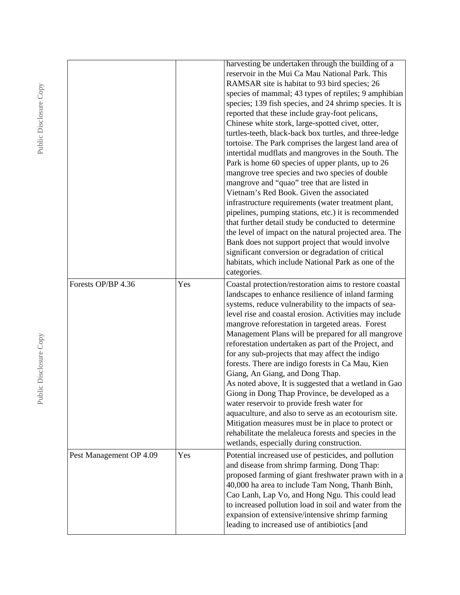|                         |     | harvesting be undertaken through the building of a<br>reservoir in the Mui Ca Mau National Park. This<br>RAMSAR site is habitat to 93 bird species; 26<br>species of mammal; 43 types of reptiles; 9 amphibian<br>species; 139 fish species, and 24 shrimp species. It is<br>reported that these include gray-foot pelicans,<br>Chinese white stork, large-spotted civet, otter,<br>turtles-teeth, black-back box turtles, and three-ledge<br>tortoise. The Park comprises the largest land area of<br>intertidal mudflats and mangroves in the South. The<br>Park is home 60 species of upper plants, up to 26<br>mangrove tree species and two species of double<br>mangrove and "quao" tree that are listed in<br>Vietnam's Red Book. Given the associated<br>infrastructure requirements (water treatment plant,<br>pipelines, pumping stations, etc.) it is recommended<br>that further detail study be conducted to determine<br>the level of impact on the natural projected area. The<br>Bank does not support project that would involve<br>significant conversion or degradation of critical<br>habitats, which include National Park as one of the<br>categories. |
|-------------------------|-----|------------------------------------------------------------------------------------------------------------------------------------------------------------------------------------------------------------------------------------------------------------------------------------------------------------------------------------------------------------------------------------------------------------------------------------------------------------------------------------------------------------------------------------------------------------------------------------------------------------------------------------------------------------------------------------------------------------------------------------------------------------------------------------------------------------------------------------------------------------------------------------------------------------------------------------------------------------------------------------------------------------------------------------------------------------------------------------------------------------------------------------------------------------------------------|
| Forests OP/BP 4.36      | Yes | Coastal protection/restoration aims to restore coastal<br>landscapes to enhance resilience of inland farming<br>systems, reduce vulnerability to the impacts of sea-<br>level rise and coastal erosion. Activities may include<br>mangrove reforestation in targeted areas. Forest<br>Management Plans will be prepared for all mangrove<br>reforestation undertaken as part of the Project, and<br>for any sub-projects that may affect the indigo<br>forests. There are indigo forests in Ca Mau, Kien<br>Giang, An Giang, and Dong Thap.<br>As noted above, It is suggested that a wetland in Gao<br>Giong in Dong Thap Province, be developed as a<br>water reservoir to provide fresh water for<br>aquaculture, and also to serve as an ecotourism site.<br>Mitigation measures must be in place to protect or<br>rehabilitate the melaleuca forests and species in the<br>wetlands, especially during construction.                                                                                                                                                                                                                                                    |
| Pest Management OP 4.09 | Yes | Potential increased use of pesticides, and pollution<br>and disease from shrimp farming. Dong Thap:<br>proposed farming of giant freshwater prawn with in a<br>40,000 ha area to include Tam Nong, Thanh Binh,<br>Cao Lanh, Lap Vo, and Hong Ngu. This could lead<br>to increased pollution load in soil and water from the<br>expansion of extensive/intensive shrimp farming<br>leading to increased use of antibiotics [and                                                                                                                                                                                                                                                                                                                                                                                                                                                                                                                                                                                                                                                                                                                                               |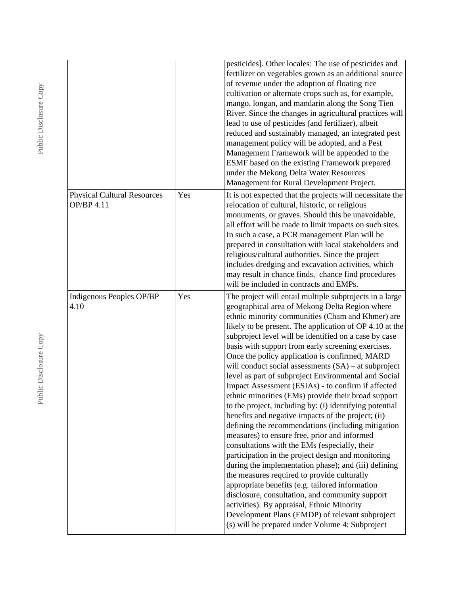|                                                  |     | pesticides]. Other locales: The use of pesticides and<br>fertilizer on vegetables grown as an additional source<br>of revenue under the adoption of floating rice<br>cultivation or alternate crops such as, for example,<br>mango, longan, and mandarin along the Song Tien<br>River. Since the changes in agricultural practices will<br>lead to use of pesticides (and fertilizer), albeit<br>reduced and sustainably managed, an integrated pest<br>management policy will be adopted, and a Pest<br>Management Framework will be appended to the<br>ESMF based on the existing Framework prepared<br>under the Mekong Delta Water Resources                                                                                                                                                                                                                                                                                                                                                                                                                                                                                                                                                                                                                                                                      |
|--------------------------------------------------|-----|-----------------------------------------------------------------------------------------------------------------------------------------------------------------------------------------------------------------------------------------------------------------------------------------------------------------------------------------------------------------------------------------------------------------------------------------------------------------------------------------------------------------------------------------------------------------------------------------------------------------------------------------------------------------------------------------------------------------------------------------------------------------------------------------------------------------------------------------------------------------------------------------------------------------------------------------------------------------------------------------------------------------------------------------------------------------------------------------------------------------------------------------------------------------------------------------------------------------------------------------------------------------------------------------------------------------------|
| <b>Physical Cultural Resources</b><br>OP/BP 4.11 | Yes | Management for Rural Development Project.<br>It is not expected that the projects will necessitate the<br>relocation of cultural, historic, or religious<br>monuments, or graves. Should this be unavoidable,<br>all effort will be made to limit impacts on such sites.<br>In such a case, a PCR management Plan will be<br>prepared in consultation with local stakeholders and<br>religious/cultural authorities. Since the project<br>includes dredging and excavation activities, which<br>may result in chance finds, chance find procedures<br>will be included in contracts and EMPs.                                                                                                                                                                                                                                                                                                                                                                                                                                                                                                                                                                                                                                                                                                                         |
| Indigenous Peoples OP/BP<br>4.10                 | Yes | The project will entail multiple subprojects in a large<br>geographical area of Mekong Delta Region where<br>ethnic minority communities (Cham and Khmer) are<br>likely to be present. The application of OP 4.10 at the<br>subproject level will be identified on a case by case<br>basis with support from early screening exercises.<br>Once the policy application is confirmed, MARD<br>will conduct social assessments (SA) - at subproject<br>level as part of subproject Environmental and Social<br>Impact Assessment (ESIAs) - to confirm if affected<br>ethnic minorities (EMs) provide their broad support<br>to the project, including by: (i) identifying potential<br>benefits and negative impacts of the project; (ii)<br>defining the recommendations (including mitigation<br>measures) to ensure free, prior and informed<br>consultations with the EMs (especially, their<br>participation in the project design and monitoring<br>during the implementation phase); and (iii) defining<br>the measures required to provide culturally<br>appropriate benefits (e.g. tailored information<br>disclosure, consultation, and community support<br>activities). By appraisal, Ethnic Minority<br>Development Plans (EMDP) of relevant subproject<br>(s) will be prepared under Volume 4: Subproject |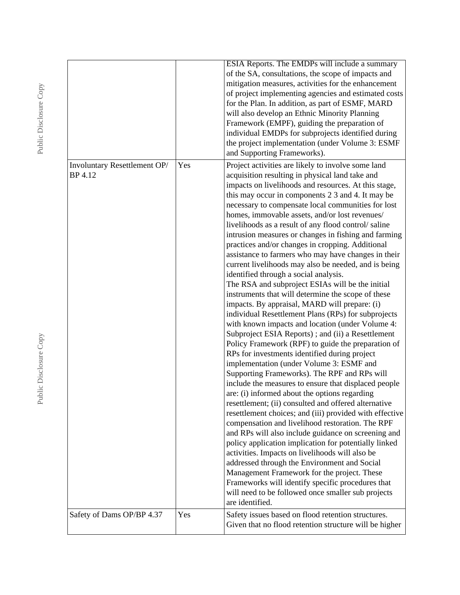|                                         |     | <b>ESIA Reports. The EMDPs will include a summary</b><br>of the SA, consultations, the scope of impacts and<br>mitigation measures, activities for the enhancement<br>of project implementing agencies and estimated costs<br>for the Plan. In addition, as part of ESMF, MARD<br>will also develop an Ethnic Minority Planning<br>Framework (EMPF), guiding the preparation of<br>individual EMDPs for subprojects identified during<br>the project implementation (under Volume 3: ESMF<br>and Supporting Frameworks).                                                                                                                                                                                                                                                                                                                                                                                                                                                                                                                                                                                                                                                                                                                                                                                                                                                                                                                                                                                                                                                                                                                                                                                                                                                                                                                                            |
|-----------------------------------------|-----|---------------------------------------------------------------------------------------------------------------------------------------------------------------------------------------------------------------------------------------------------------------------------------------------------------------------------------------------------------------------------------------------------------------------------------------------------------------------------------------------------------------------------------------------------------------------------------------------------------------------------------------------------------------------------------------------------------------------------------------------------------------------------------------------------------------------------------------------------------------------------------------------------------------------------------------------------------------------------------------------------------------------------------------------------------------------------------------------------------------------------------------------------------------------------------------------------------------------------------------------------------------------------------------------------------------------------------------------------------------------------------------------------------------------------------------------------------------------------------------------------------------------------------------------------------------------------------------------------------------------------------------------------------------------------------------------------------------------------------------------------------------------------------------------------------------------------------------------------------------------|
| Involuntary Resettlement OP/<br>BP 4.12 | Yes | Project activities are likely to involve some land<br>acquisition resulting in physical land take and<br>impacts on livelihoods and resources. At this stage,<br>this may occur in components 2 3 and 4. It may be<br>necessary to compensate local communities for lost<br>homes, immovable assets, and/or lost revenues/<br>livelihoods as a result of any flood control/saline<br>intrusion measures or changes in fishing and farming<br>practices and/or changes in cropping. Additional<br>assistance to farmers who may have changes in their<br>current livelihoods may also be needed, and is being<br>identified through a social analysis.<br>The RSA and subproject ESIAs will be the initial<br>instruments that will determine the scope of these<br>impacts. By appraisal, MARD will prepare: (i)<br>individual Resettlement Plans (RPs) for subprojects<br>with known impacts and location (under Volume 4:<br>Subproject ESIA Reports); and (ii) a Resettlement<br>Policy Framework (RPF) to guide the preparation of<br>RPs for investments identified during project<br>implementation (under Volume 3: ESMF and<br>Supporting Frameworks). The RPF and RPs will<br>include the measures to ensure that displaced people<br>are: (i) informed about the options regarding<br>resettlement; (ii) consulted and offered alternative<br>resettlement choices; and (iii) provided with effective<br>compensation and livelihood restoration. The RPF<br>and RPs will also include guidance on screening and<br>policy application implication for potentially linked<br>activities. Impacts on livelihoods will also be<br>addressed through the Environment and Social<br>Management Framework for the project. These<br>Frameworks will identify specific procedures that<br>will need to be followed once smaller sub projects<br>are identified. |
| Safety of Dams OP/BP 4.37               | Yes | Safety issues based on flood retention structures.<br>Given that no flood retention structure will be higher                                                                                                                                                                                                                                                                                                                                                                                                                                                                                                                                                                                                                                                                                                                                                                                                                                                                                                                                                                                                                                                                                                                                                                                                                                                                                                                                                                                                                                                                                                                                                                                                                                                                                                                                                        |